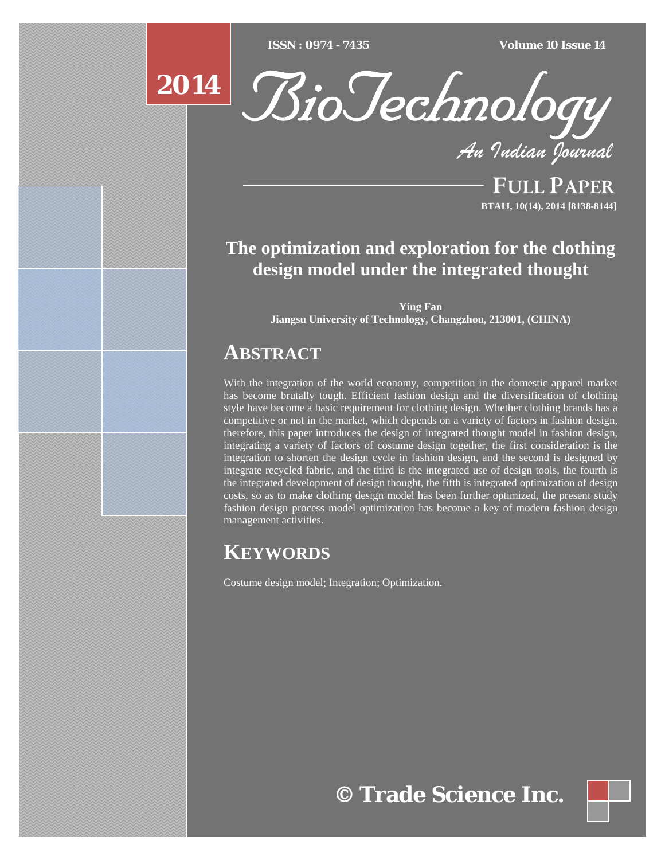$ISSN : 0974 - 7435$ 

*ISSN : 0974 - 7435 Volume 10 Issue 14*

# **2014**



*An Indian Journal*

FULL PAPER **BTAIJ, 10(14), 2014 [8138-8144]**

### **The optimization and exploration for the clothing design model under the integrated thought**

**Ying Fan Jiangsu University of Technology, Changzhou, 213001, (CHINA)** 

## **ABSTRACT**

With the integration of the world economy, competition in the domestic apparel market has become brutally tough. Efficient fashion design and the diversification of clothing style have become a basic requirement for clothing design. Whether clothing brands has a competitive or not in the market, which depends on a variety of factors in fashion design, therefore, this paper introduces the design of integrated thought model in fashion design, integrating a variety of factors of costume design together, the first consideration is the integration to shorten the design cycle in fashion design, and the second is designed by integrate recycled fabric, and the third is the integrated use of design tools, the fourth is the integrated development of design thought, the fifth is integrated optimization of design costs, so as to make clothing design model has been further optimized, the present study fashion design process model optimization has become a key of modern fashion design management activities.

## **KEYWORDS**

Costume design model; Integration; Optimization.

## **© Trade Science Inc.**

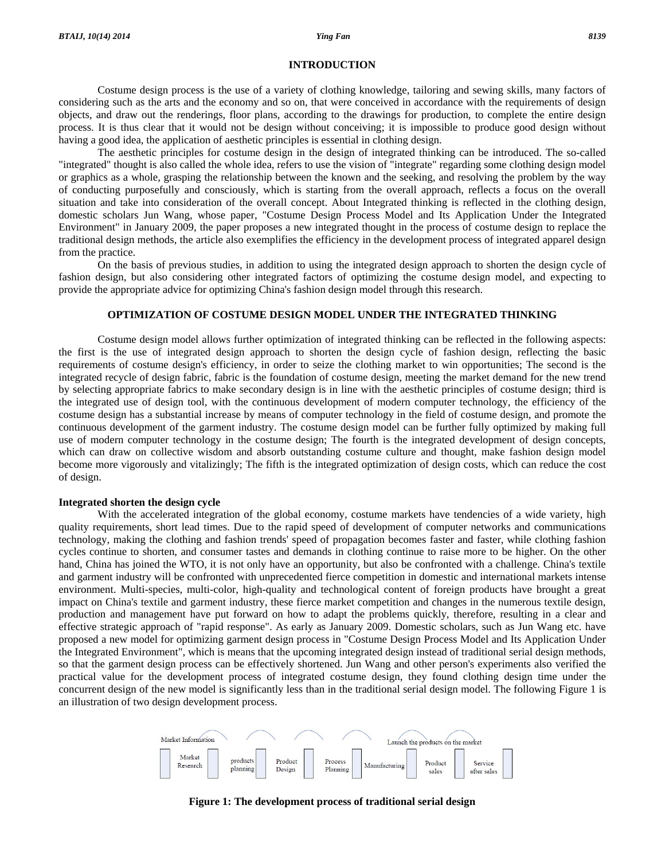#### **INTRODUCTION**

 Costume design process is the use of a variety of clothing knowledge, tailoring and sewing skills, many factors of considering such as the arts and the economy and so on, that were conceived in accordance with the requirements of design objects, and draw out the renderings, floor plans, according to the drawings for production, to complete the entire design process. It is thus clear that it would not be design without conceiving; it is impossible to produce good design without having a good idea, the application of aesthetic principles is essential in clothing design.

 The aesthetic principles for costume design in the design of integrated thinking can be introduced. The so-called "integrated" thought is also called the whole idea, refers to use the vision of "integrate" regarding some clothing design model or graphics as a whole, grasping the relationship between the known and the seeking, and resolving the problem by the way of conducting purposefully and consciously, which is starting from the overall approach, reflects a focus on the overall situation and take into consideration of the overall concept. About Integrated thinking is reflected in the clothing design, domestic scholars Jun Wang, whose paper, "Costume Design Process Model and Its Application Under the Integrated Environment" in January 2009, the paper proposes a new integrated thought in the process of costume design to replace the traditional design methods, the article also exemplifies the efficiency in the development process of integrated apparel design from the practice.

 On the basis of previous studies, in addition to using the integrated design approach to shorten the design cycle of fashion design, but also considering other integrated factors of optimizing the costume design model, and expecting to provide the appropriate advice for optimizing China's fashion design model through this research.

#### **OPTIMIZATION OF COSTUME DESIGN MODEL UNDER THE INTEGRATED THINKING**

 Costume design model allows further optimization of integrated thinking can be reflected in the following aspects: the first is the use of integrated design approach to shorten the design cycle of fashion design, reflecting the basic requirements of costume design's efficiency, in order to seize the clothing market to win opportunities; The second is the integrated recycle of design fabric, fabric is the foundation of costume design, meeting the market demand for the new trend by selecting appropriate fabrics to make secondary design is in line with the aesthetic principles of costume design; third is the integrated use of design tool, with the continuous development of modern computer technology, the efficiency of the costume design has a substantial increase by means of computer technology in the field of costume design, and promote the continuous development of the garment industry. The costume design model can be further fully optimized by making full use of modern computer technology in the costume design; The fourth is the integrated development of design concepts, which can draw on collective wisdom and absorb outstanding costume culture and thought, make fashion design model become more vigorously and vitalizingly; The fifth is the integrated optimization of design costs, which can reduce the cost of design.

### **Integrated shorten the design cycle**

With the accelerated integration of the global economy, costume markets have tendencies of a wide variety, high quality requirements, short lead times. Due to the rapid speed of development of computer networks and communications technology, making the clothing and fashion trends' speed of propagation becomes faster and faster, while clothing fashion cycles continue to shorten, and consumer tastes and demands in clothing continue to raise more to be higher. On the other hand, China has joined the WTO, it is not only have an opportunity, but also be confronted with a challenge. China's textile and garment industry will be confronted with unprecedented fierce competition in domestic and international markets intense environment. Multi-species, multi-color, high-quality and technological content of foreign products have brought a great impact on China's textile and garment industry, these fierce market competition and changes in the numerous textile design, production and management have put forward on how to adapt the problems quickly, therefore, resulting in a clear and effective strategic approach of "rapid response". As early as January 2009. Domestic scholars, such as Jun Wang etc. have proposed a new model for optimizing garment design process in "Costume Design Process Model and Its Application Under the Integrated Environment", which is means that the upcoming integrated design instead of traditional serial design methods, so that the garment design process can be effectively shortened. Jun Wang and other person's experiments also verified the practical value for the development process of integrated costume design, they found clothing design time under the concurrent design of the new model is significantly less than in the traditional serial design model. The following Figure 1 is an illustration of two design development process.



**Figure 1: The development process of traditional serial design**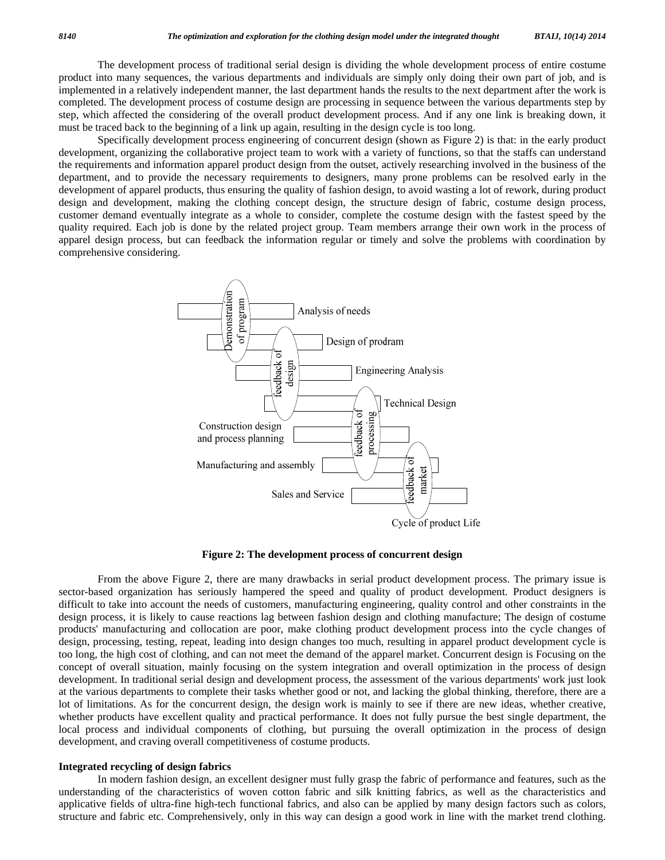The development process of traditional serial design is dividing the whole development process of entire costume product into many sequences, the various departments and individuals are simply only doing their own part of job, and is implemented in a relatively independent manner, the last department hands the results to the next department after the work is completed. The development process of costume design are processing in sequence between the various departments step by step, which affected the considering of the overall product development process. And if any one link is breaking down, it must be traced back to the beginning of a link up again, resulting in the design cycle is too long.

 Specifically development process engineering of concurrent design (shown as Figure 2) is that: in the early product development, organizing the collaborative project team to work with a variety of functions, so that the staffs can understand the requirements and information apparel product design from the outset, actively researching involved in the business of the department, and to provide the necessary requirements to designers, many prone problems can be resolved early in the development of apparel products, thus ensuring the quality of fashion design, to avoid wasting a lot of rework, during product design and development, making the clothing concept design, the structure design of fabric, costume design process, customer demand eventually integrate as a whole to consider, complete the costume design with the fastest speed by the quality required. Each job is done by the related project group. Team members arrange their own work in the process of apparel design process, but can feedback the information regular or timely and solve the problems with coordination by comprehensive considering.



**Figure 2: The development process of concurrent design** 

 From the above Figure 2, there are many drawbacks in serial product development process. The primary issue is sector-based organization has seriously hampered the speed and quality of product development. Product designers is difficult to take into account the needs of customers, manufacturing engineering, quality control and other constraints in the design process, it is likely to cause reactions lag between fashion design and clothing manufacture; The design of costume products' manufacturing and collocation are poor, make clothing product development process into the cycle changes of design, processing, testing, repeat, leading into design changes too much, resulting in apparel product development cycle is too long, the high cost of clothing, and can not meet the demand of the apparel market. Concurrent design is Focusing on the concept of overall situation, mainly focusing on the system integration and overall optimization in the process of design development. In traditional serial design and development process, the assessment of the various departments' work just look at the various departments to complete their tasks whether good or not, and lacking the global thinking, therefore, there are a lot of limitations. As for the concurrent design, the design work is mainly to see if there are new ideas, whether creative, whether products have excellent quality and practical performance. It does not fully pursue the best single department, the local process and individual components of clothing, but pursuing the overall optimization in the process of design development, and craving overall competitiveness of costume products.

#### **Integrated recycling of design fabrics**

 In modern fashion design, an excellent designer must fully grasp the fabric of performance and features, such as the understanding of the characteristics of woven cotton fabric and silk knitting fabrics, as well as the characteristics and applicative fields of ultra-fine high-tech functional fabrics, and also can be applied by many design factors such as colors, structure and fabric etc. Comprehensively, only in this way can design a good work in line with the market trend clothing.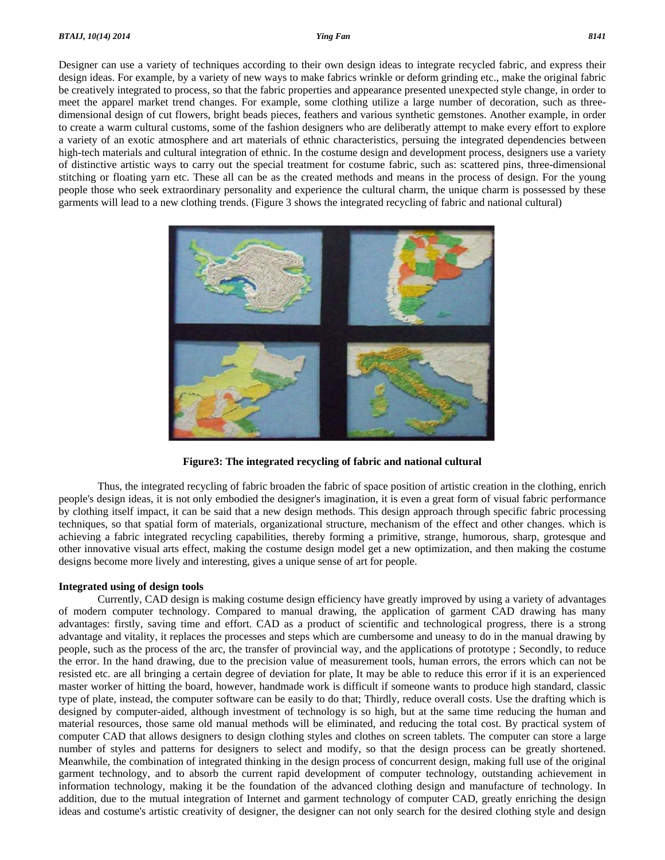Designer can use a variety of techniques according to their own design ideas to integrate recycled fabric, and express their design ideas. For example, by a variety of new ways to make fabrics wrinkle or deform grinding etc., make the original fabric be creatively integrated to process, so that the fabric properties and appearance presented unexpected style change, in order to meet the apparel market trend changes. For example, some clothing utilize a large number of decoration, such as threedimensional design of cut flowers, bright beads pieces, feathers and various synthetic gemstones. Another example, in order to create a warm cultural customs, some of the fashion designers who are deliberatly attempt to make every effort to explore a variety of an exotic atmosphere and art materials of ethnic characteristics, persuing the integrated dependencies between high-tech materials and cultural integration of ethnic. In the costume design and development process, designers use a variety of distinctive artistic ways to carry out the special treatment for costume fabric, such as: scattered pins, three-dimensional stitching or floating yarn etc. These all can be as the created methods and means in the process of design. For the young people those who seek extraordinary personality and experience the cultural charm, the unique charm is possessed by these garments will lead to a new clothing trends. (Figure 3 shows the integrated recycling of fabric and national cultural)



**Figure3: The integrated recycling of fabric and national cultural** 

 Thus, the integrated recycling of fabric broaden the fabric of space position of artistic creation in the clothing, enrich people's design ideas, it is not only embodied the designer's imagination, it is even a great form of visual fabric performance by clothing itself impact, it can be said that a new design methods. This design approach through specific fabric processing techniques, so that spatial form of materials, organizational structure, mechanism of the effect and other changes. which is achieving a fabric integrated recycling capabilities, thereby forming a primitive, strange, humorous, sharp, grotesque and other innovative visual arts effect, making the costume design model get a new optimization, and then making the costume designs become more lively and interesting, gives a unique sense of art for people.

#### **Integrated using of design tools**

 Currently, CAD design is making costume design efficiency have greatly improved by using a variety of advantages of modern computer technology. Compared to manual drawing, the application of garment CAD drawing has many advantages: firstly, saving time and effort. CAD as a product of scientific and technological progress, there is a strong advantage and vitality, it replaces the processes and steps which are cumbersome and uneasy to do in the manual drawing by people, such as the process of the arc, the transfer of provincial way, and the applications of prototype ; Secondly, to reduce the error. In the hand drawing, due to the precision value of measurement tools, human errors, the errors which can not be resisted etc. are all bringing a certain degree of deviation for plate, It may be able to reduce this error if it is an experienced master worker of hitting the board, however, handmade work is difficult if someone wants to produce high standard, classic type of plate, instead, the computer software can be easily to do that; Thirdly, reduce overall costs. Use the drafting which is designed by computer-aided, although investment of technology is so high, but at the same time reducing the human and material resources, those same old manual methods will be eliminated, and reducing the total cost. By practical system of computer CAD that allows designers to design clothing styles and clothes on screen tablets. The computer can store a large number of styles and patterns for designers to select and modify, so that the design process can be greatly shortened. Meanwhile, the combination of integrated thinking in the design process of concurrent design, making full use of the original garment technology, and to absorb the current rapid development of computer technology, outstanding achievement in information technology, making it be the foundation of the advanced clothing design and manufacture of technology. In addition, due to the mutual integration of Internet and garment technology of computer CAD, greatly enriching the design ideas and costume's artistic creativity of designer, the designer can not only search for the desired clothing style and design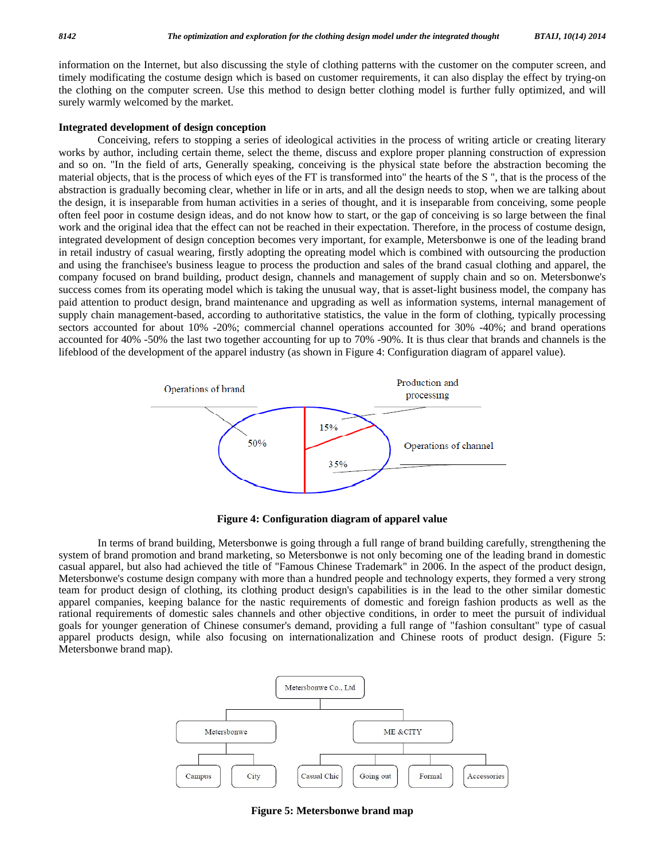information on the Internet, but also discussing the style of clothing patterns with the customer on the computer screen, and timely modificating the costume design which is based on customer requirements, it can also display the effect by trying-on the clothing on the computer screen. Use this method to design better clothing model is further fully optimized, and will surely warmly welcomed by the market.

### **Integrated development of design conception**

 Conceiving, refers to stopping a series of ideological activities in the process of writing article or creating literary works by author, including certain theme, select the theme, discuss and explore proper planning construction of expression and so on. "In the field of arts, Generally speaking, conceiving is the physical state before the abstraction becoming the material objects, that is the process of which eyes of the FT is transformed into" the hearts of the S ", that is the process of the abstraction is gradually becoming clear, whether in life or in arts, and all the design needs to stop, when we are talking about the design, it is inseparable from human activities in a series of thought, and it is inseparable from conceiving, some people often feel poor in costume design ideas, and do not know how to start, or the gap of conceiving is so large between the final work and the original idea that the effect can not be reached in their expectation. Therefore, in the process of costume design, integrated development of design conception becomes very important, for example, Metersbonwe is one of the leading brand in retail industry of casual wearing, firstly adopting the opreating model which is combined with outsourcing the production and using the franchisee's business league to process the production and sales of the brand casual clothing and apparel, the company focused on brand building, product design, channels and management of supply chain and so on. Metersbonwe's success comes from its operating model which is taking the unusual way, that is asset-light business model, the company has paid attention to product design, brand maintenance and upgrading as well as information systems, internal management of supply chain management-based, according to authoritative statistics, the value in the form of clothing, typically processing sectors accounted for about 10% -20%; commercial channel operations accounted for 30% -40%; and brand operations accounted for 40% -50% the last two together accounting for up to 70% -90%. It is thus clear that brands and channels is the lifeblood of the development of the apparel industry (as shown in Figure 4: Configuration diagram of apparel value).



**Figure 4: Configuration diagram of apparel value** 

 In terms of brand building, Metersbonwe is going through a full range of brand building carefully, strengthening the system of brand promotion and brand marketing, so Metersbonwe is not only becoming one of the leading brand in domestic casual apparel, but also had achieved the title of "Famous Chinese Trademark" in 2006. In the aspect of the product design, Metersbonwe's costume design company with more than a hundred people and technology experts, they formed a very strong team for product design of clothing, its clothing product design's capabilities is in the lead to the other similar domestic apparel companies, keeping balance for the nastic requirements of domestic and foreign fashion products as well as the rational requirements of domestic sales channels and other objective conditions, in order to meet the pursuit of individual goals for younger generation of Chinese consumer's demand, providing a full range of "fashion consultant" type of casual apparel products design, while also focusing on internationalization and Chinese roots of product design. (Figure 5: Metersbonwe brand map).



**Figure 5: Metersbonwe brand map**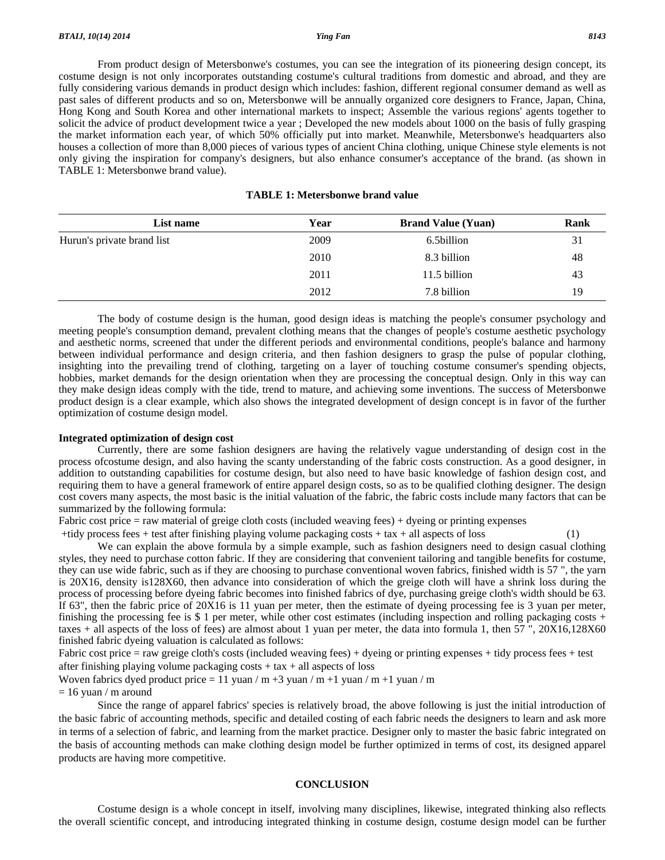From product design of Metersbonwe's costumes, you can see the integration of its pioneering design concept, its costume design is not only incorporates outstanding costume's cultural traditions from domestic and abroad, and they are fully considering various demands in product design which includes: fashion, different regional consumer demand as well as past sales of different products and so on, Metersbonwe will be annually organized core designers to France, Japan, China, Hong Kong and South Korea and other international markets to inspect; Assemble the various regions' agents together to solicit the advice of product development twice a year ; Developed the new models about 1000 on the basis of fully grasping the market information each year, of which 50% officially put into market. Meanwhile, Metersbonwe's headquarters also houses a collection of more than 8,000 pieces of various types of ancient China clothing, unique Chinese style elements is not only giving the inspiration for company's designers, but also enhance consumer's acceptance of the brand. (as shown in TABLE 1: Metersbonwe brand value).

| <b>TABLE 1: Metersbonwe brand value</b> |  |  |
|-----------------------------------------|--|--|
|-----------------------------------------|--|--|

| List name                  | Year | <b>Brand Value (Yuan)</b> | Rank |
|----------------------------|------|---------------------------|------|
| Hurun's private brand list | 2009 | 6.5billion                | 31   |
|                            | 2010 | 8.3 billion               | 48   |
|                            | 2011 | 11.5 billion              | 43   |
|                            | 2012 | 7.8 billion               | 19   |

 The body of costume design is the human, good design ideas is matching the people's consumer psychology and meeting people's consumption demand, prevalent clothing means that the changes of people's costume aesthetic psychology and aesthetic norms, screened that under the different periods and environmental conditions, people's balance and harmony between individual performance and design criteria, and then fashion designers to grasp the pulse of popular clothing, insighting into the prevailing trend of clothing, targeting on a layer of touching costume consumer's spending objects, hobbies, market demands for the design orientation when they are processing the conceptual design. Only in this way can they make design ideas comply with the tide, trend to mature, and achieving some inventions. The success of Metersbonwe product design is a clear example, which also shows the integrated development of design concept is in favor of the further optimization of costume design model.

#### **Integrated optimization of design cost**

 Currently, there are some fashion designers are having the relatively vague understanding of design cost in the process ofcostume design, and also having the scanty understanding of the fabric costs construction. As a good designer, in addition to outstanding capabilities for costume design, but also need to have basic knowledge of fashion design cost, and requiring them to have a general framework of entire apparel design costs, so as to be qualified clothing designer. The design cost covers many aspects, the most basic is the initial valuation of the fabric, the fabric costs include many factors that can be summarized by the following formula:

Fabric cost price = raw material of greige cloth costs (included weaving fees) + dyeing or printing expenses

+tidy process fees + test after finishing playing volume packaging costs + tax + all aspects of loss (1)

We can explain the above formula by a simple example, such as fashion designers need to design casual clothing styles, they need to purchase cotton fabric. If they are considering that convenient tailoring and tangible benefits for costume, they can use wide fabric, such as if they are choosing to purchase conventional woven fabrics, finished width is 57 ", the yarn is 20X16, density is128X60, then advance into consideration of which the greige cloth will have a shrink loss during the process of processing before dyeing fabric becomes into finished fabrics of dye, purchasing greige cloth's width should be 63. If 63", then the fabric price of  $20X16$  is 11 yuan per meter, then the estimate of dyeing processing fee is 3 yuan per meter, finishing the processing fee is  $$ 1$  per meter, while other cost estimates (including inspection and rolling packaging costs + taxes  $+$  all aspects of the loss of fees) are almost about 1 yuan per meter, the data into formula 1, then  $57$ ,  $20\overline{X}16,128\overline{X}60$ finished fabric dyeing valuation is calculated as follows:

Fabric cost price  $=$  raw greige cloth's costs (included weaving fees)  $+$  dyeing or printing expenses  $+$  tidy process fees  $+$  test after finishing playing volume packaging costs  $+$  tax  $+$  all aspects of loss

Woven fabrics dyed product price  $= 11$  yuan / m +3 yuan / m +1 yuan / m +1 yuan / m

 $= 16$  yuan / m around

 Since the range of apparel fabrics' species is relatively broad, the above following is just the initial introduction of the basic fabric of accounting methods, specific and detailed costing of each fabric needs the designers to learn and ask more in terms of a selection of fabric, and learning from the market practice. Designer only to master the basic fabric integrated on the basis of accounting methods can make clothing design model be further optimized in terms of cost, its designed apparel products are having more competitive.

### **CONCLUSION**

 Costume design is a whole concept in itself, involving many disciplines, likewise, integrated thinking also reflects the overall scientific concept, and introducing integrated thinking in costume design, costume design model can be further